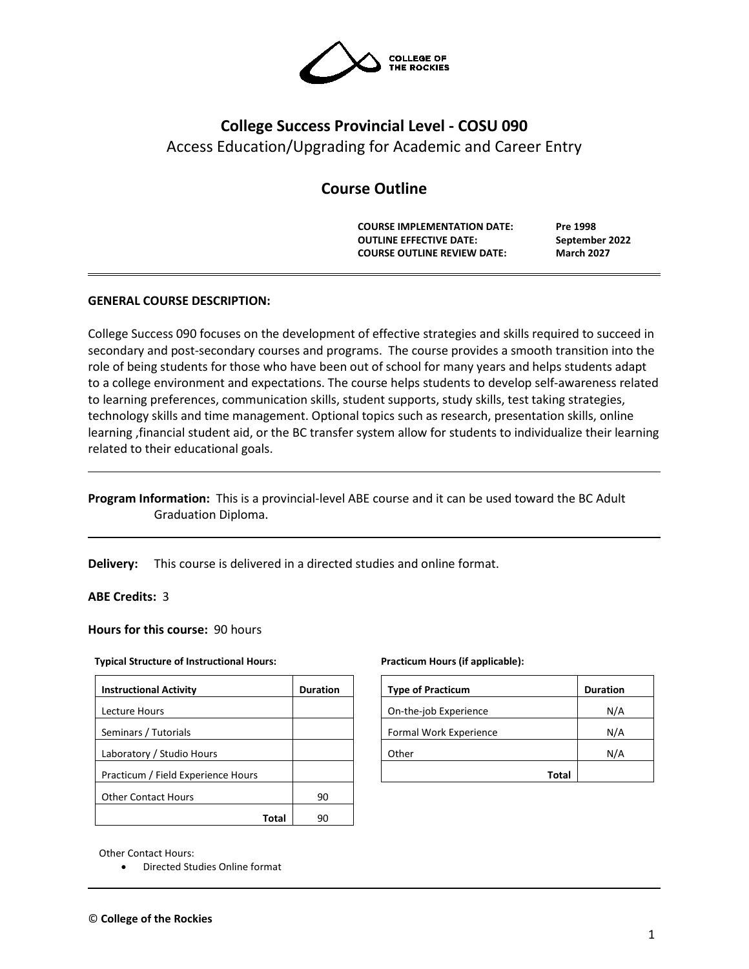

# **College Success Provincial Level - COSU 090** Access Education/Upgrading for Academic and Career Entry

## **Course Outline**

**COURSE IMPLEMENTATION DATE: Pre 1998 OUTLINE EFFECTIVE DATE: September 2022 COURSE OUTLINE REVIEW DATE: March 2027** 

## **GENERAL COURSE DESCRIPTION:**

College Success 090 focuses on the development of effective strategies and skills required to succeed in secondary and post-secondary courses and programs. The course provides a smooth transition into the role of being students for those who have been out of school for many years and helps students adapt to a college environment and expectations. The course helps students to develop self-awareness related to learning preferences, communication skills, student supports, study skills, test taking strategies, technology skills and time management. Optional topics such as research, presentation skills, online learning ,financial student aid, or the BC transfer system allow for students to individualize their learning related to their educational goals.

**Program Information:** This is a provincial-level ABE course and it can be used toward the BC Adult Graduation Diploma.

**Delivery:** This course is delivered in a directed studies and online format.

#### **ABE Credits:** 3

#### **Hours for this course:** 90 hours

#### **Typical Structure of Instructional Hours:**

| <b>Instructional Activity</b>      | <b>Duration</b> |  |  |
|------------------------------------|-----------------|--|--|
| Lecture Hours                      |                 |  |  |
| Seminars / Tutorials               |                 |  |  |
| Laboratory / Studio Hours          |                 |  |  |
| Practicum / Field Experience Hours |                 |  |  |
| <b>Other Contact Hours</b>         | 90              |  |  |
|                                    |                 |  |  |

Other Contact Hours:

• Directed Studies Online format

#### **Practicum Hours (if applicable):**

| <b>Type of Practicum</b> | <b>Duration</b> |
|--------------------------|-----------------|
| On-the-job Experience    | N/A             |
| Formal Work Experience   | N/A             |
| Other                    | N/A             |
| <b>Total</b>             |                 |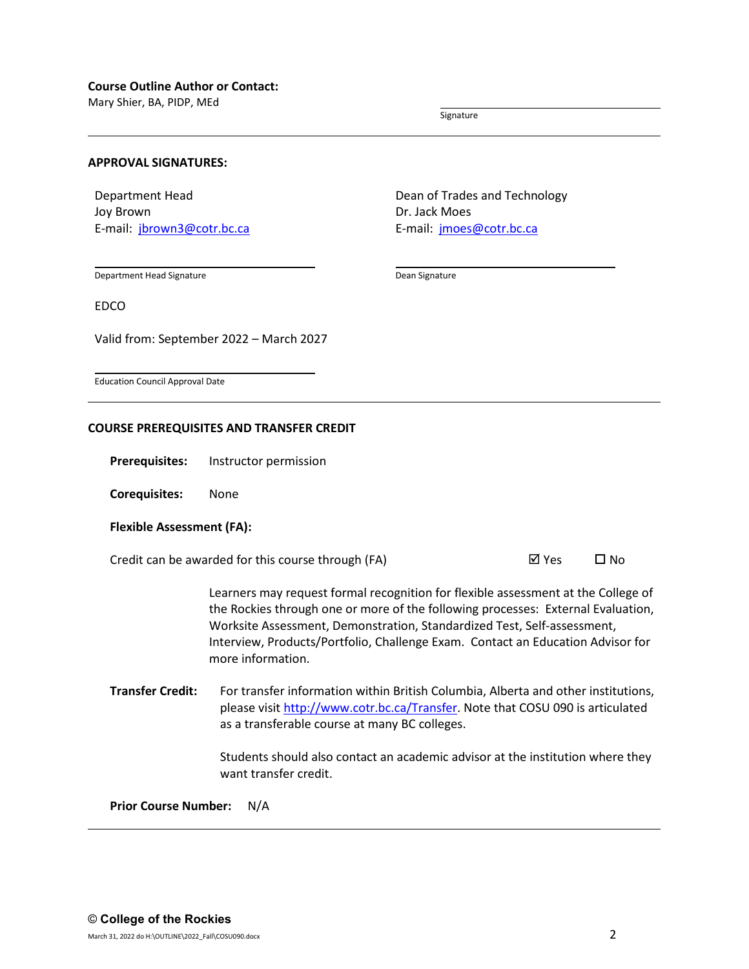Mary Shier, BA, PIDP, MEd

Signature

#### **APPROVAL SIGNATURES:**

Department Head Joy Brown E-mail: [jbrown3@cotr.bc.ca](mailto:jbrown3@cotr.bc.ca) Dean of Trades and Technology Dr. Jack Moes E-mail: [jmoes@cotr.bc.ca](mailto:jmoes@cotr.bc.ca)

Department Head Signature

Dean Signature

EDCO

Valid from: September 2022 – March 2027

Education Council Approval Date

#### **COURSE PREREQUISITES AND TRANSFER CREDIT**

**Prerequisites:** Instructor permission

**Corequisites:** None

#### **Flexible Assessment (FA):**

Credit can be awarded for this course through (FA)  $\boxtimes$  Yes  $\Box$  No

Learners may request formal recognition for flexible assessment at the College of the Rockies through one or more of the following processes: External Evaluation, Worksite Assessment, Demonstration, Standardized Test, Self-assessment, Interview, Products/Portfolio, Challenge Exam. Contact an Education Advisor for more information.

**Transfer Credit:** For transfer information within British Columbia, Alberta and other institutions, please visit [http://www.cotr.bc.ca/Transfer.](http://www.cotr.bc.ca/Transfer) Note that COSU 090 is articulated as a transferable course at many BC colleges.

> Students should also contact an academic advisor at the institution where they want transfer credit.

**Prior Course Number:** N/A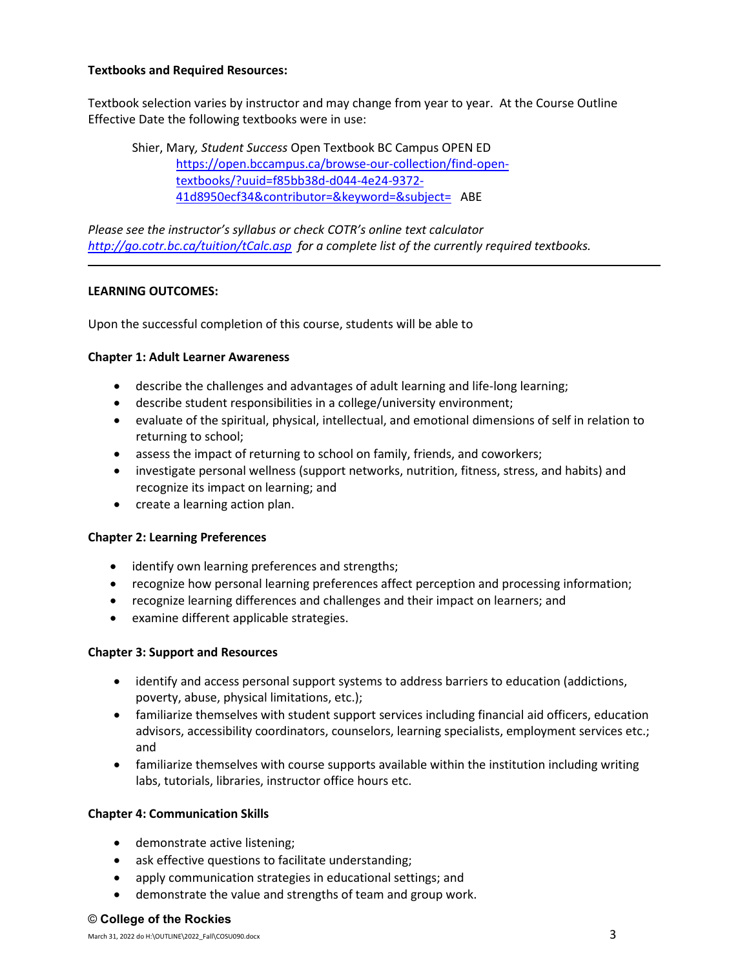## **Textbooks and Required Resources:**

Textbook selection varies by instructor and may change from year to year. At the Course Outline Effective Date the following textbooks were in use:

Shier, Mary*, Student Success* Open Textbook BC Campus OPEN ED [https://open.bccampus.ca/browse-our-collection/find-open](https://open.bccampus.ca/browse-our-collection/find-open-textbooks/?uuid=f85bb38d-d044-4e24-9372-41d8950ecf34&contributor=&keyword=&subject=)[textbooks/?uuid=f85bb38d-d044-4e24-9372-](https://open.bccampus.ca/browse-our-collection/find-open-textbooks/?uuid=f85bb38d-d044-4e24-9372-41d8950ecf34&contributor=&keyword=&subject=) [41d8950ecf34&contributor=&keyword=&subject=](https://open.bccampus.ca/browse-our-collection/find-open-textbooks/?uuid=f85bb38d-d044-4e24-9372-41d8950ecf34&contributor=&keyword=&subject=) ABE

*Please see the instructor's syllabus or check COTR's online text calculator <http://go.cotr.bc.ca/tuition/tCalc.asp>for a complete list of the currently required textbooks.*

## **LEARNING OUTCOMES:**

Upon the successful completion of this course, students will be able to

## **Chapter 1: Adult Learner Awareness**

- describe the challenges and advantages of adult learning and life-long learning;
- describe student responsibilities in a college/university environment;
- evaluate of the spiritual, physical, intellectual, and emotional dimensions of self in relation to returning to school;
- assess the impact of returning to school on family, friends, and coworkers;
- investigate personal wellness (support networks, nutrition, fitness, stress, and habits) and recognize its impact on learning; and
- create a learning action plan.

#### **Chapter 2: Learning Preferences**

- identify own learning preferences and strengths;
- recognize how personal learning preferences affect perception and processing information;
- recognize learning differences and challenges and their impact on learners; and
- examine different applicable strategies.

#### **Chapter 3: Support and Resources**

- identify and access personal support systems to address barriers to education (addictions, poverty, abuse, physical limitations, etc.);
- familiarize themselves with student support services including financial aid officers, education advisors, accessibility coordinators, counselors, learning specialists, employment services etc.; and
- familiarize themselves with course supports available within the institution including writing labs, tutorials, libraries, instructor office hours etc.

#### **Chapter 4: Communication Skills**

- demonstrate active listening;
- ask effective questions to facilitate understanding;
- apply communication strategies in educational settings; and
- demonstrate the value and strengths of team and group work.

#### © **College of the Rockies**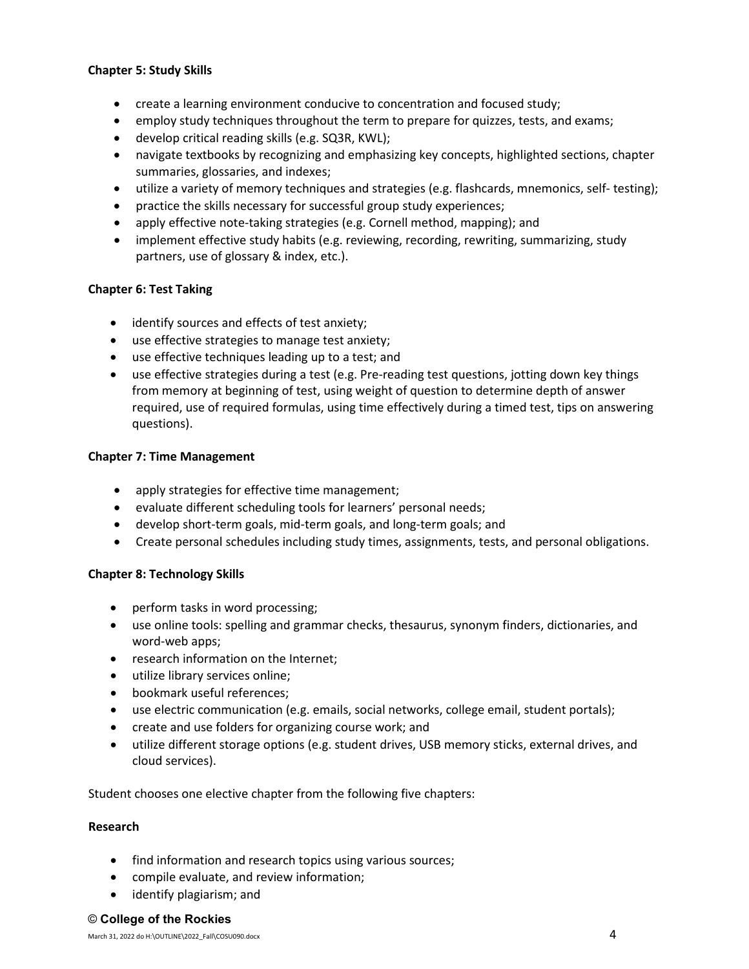## **Chapter 5: Study Skills**

- create a learning environment conducive to concentration and focused study;
- employ study techniques throughout the term to prepare for quizzes, tests, and exams;
- develop critical reading skills (e.g. SQ3R, KWL);
- navigate textbooks by recognizing and emphasizing key concepts, highlighted sections, chapter summaries, glossaries, and indexes;
- utilize a variety of memory techniques and strategies (e.g. flashcards, mnemonics, self- testing);
- practice the skills necessary for successful group study experiences;
- apply effective note-taking strategies (e.g. Cornell method, mapping); and
- implement effective study habits (e.g. reviewing, recording, rewriting, summarizing, study partners, use of glossary & index, etc.).

## **Chapter 6: Test Taking**

- identify sources and effects of test anxiety;
- use effective strategies to manage test anxiety;
- use effective techniques leading up to a test; and
- use effective strategies during a test (e.g. Pre-reading test questions, jotting down key things from memory at beginning of test, using weight of question to determine depth of answer required, use of required formulas, using time effectively during a timed test, tips on answering questions).

## **Chapter 7: Time Management**

- apply strategies for effective time management;
- evaluate different scheduling tools for learners' personal needs;
- develop short-term goals, mid-term goals, and long-term goals; and
- Create personal schedules including study times, assignments, tests, and personal obligations.

## **Chapter 8: Technology Skills**

- perform tasks in word processing;
- use online tools: spelling and grammar checks, thesaurus, synonym finders, dictionaries, and word-web apps;
- research information on the Internet;
- utilize library services online;
- bookmark useful references;
- use electric communication (e.g. emails, social networks, college email, student portals);
- create and use folders for organizing course work; and
- utilize different storage options (e.g. student drives, USB memory sticks, external drives, and cloud services).

Student chooses one elective chapter from the following five chapters:

## **Research**

- find information and research topics using various sources;
- compile evaluate, and review information;
- identify plagiarism; and

#### © **College of the Rockies**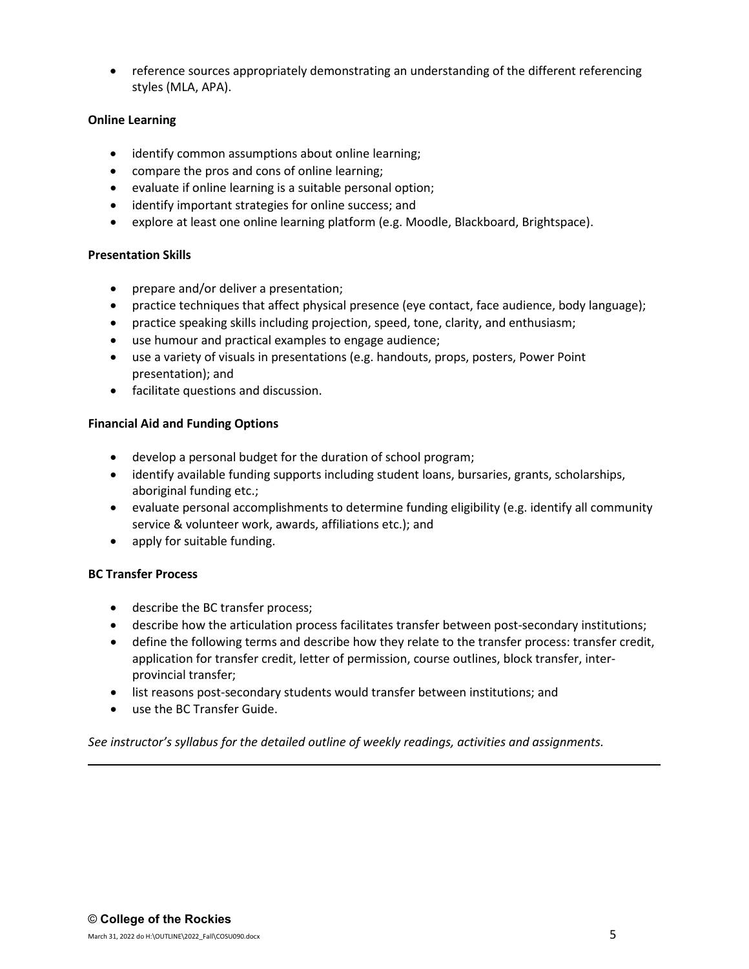• reference sources appropriately demonstrating an understanding of the different referencing styles (MLA, APA).

## **Online Learning**

- identify common assumptions about online learning;
- compare the pros and cons of online learning;
- evaluate if online learning is a suitable personal option;
- identify important strategies for online success; and
- explore at least one online learning platform (e.g. Moodle, Blackboard, Brightspace).

## **Presentation Skills**

- prepare and/or deliver a presentation;
- practice techniques that affect physical presence (eye contact, face audience, body language);
- practice speaking skills including projection, speed, tone, clarity, and enthusiasm;
- use humour and practical examples to engage audience;
- use a variety of visuals in presentations (e.g. handouts, props, posters, Power Point presentation); and
- facilitate questions and discussion.

## **Financial Aid and Funding Options**

- develop a personal budget for the duration of school program;
- identify available funding supports including student loans, bursaries, grants, scholarships, aboriginal funding etc.;
- evaluate personal accomplishments to determine funding eligibility (e.g. identify all community service & volunteer work, awards, affiliations etc.); and
- apply for suitable funding.

## **BC Transfer Process**

- describe the BC transfer process;
- describe how the articulation process facilitates transfer between post-secondary institutions;
- define the following terms and describe how they relate to the transfer process: transfer credit, application for transfer credit, letter of permission, course outlines, block transfer, interprovincial transfer;
- list reasons post-secondary students would transfer between institutions; and
- use the BC Transfer Guide.

*See instructor's syllabus for the detailed outline of weekly readings, activities and assignments.*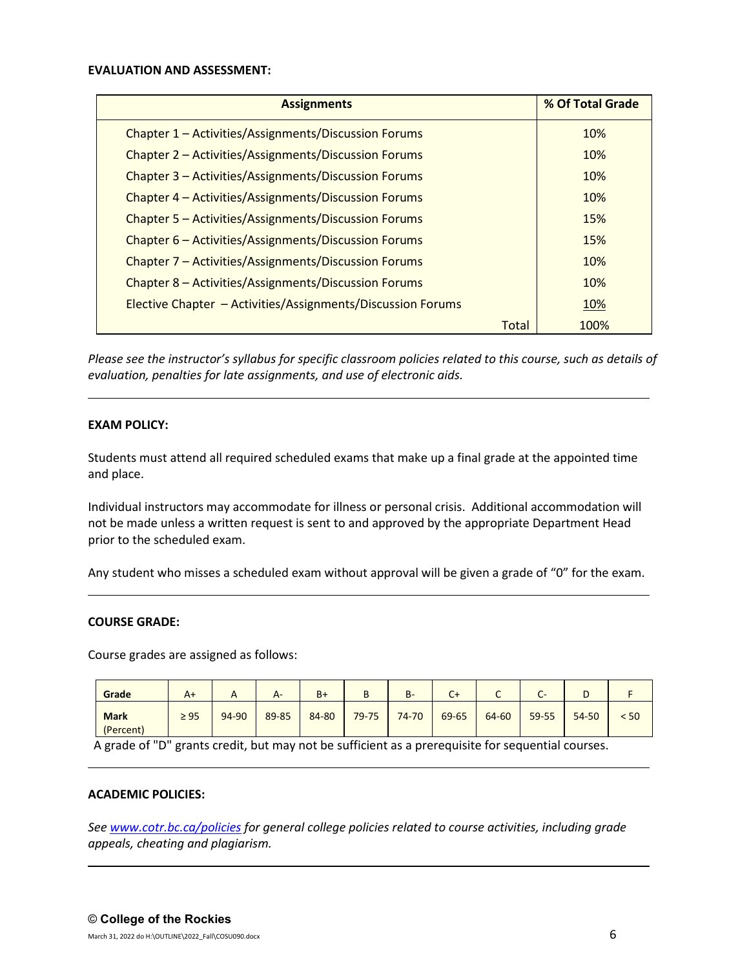#### **EVALUATION AND ASSESSMENT:**

| <b>Assignments</b>                                          | % Of Total Grade |
|-------------------------------------------------------------|------------------|
| Chapter 1 - Activities/Assignments/Discussion Forums        | 10%              |
| Chapter 2 – Activities/Assignments/Discussion Forums        | <b>10%</b>       |
| <b>Chapter 3 – Activities/Assignments/Discussion Forums</b> | 10%              |
| Chapter 4 – Activities/Assignments/Discussion Forums        | 10%              |
| <b>Chapter 5 – Activities/Assignments/Discussion Forums</b> | 15%              |
| Chapter 6 - Activities/Assignments/Discussion Forums        | 15%              |
| Chapter 7 – Activities/Assignments/Discussion Forums        | 10%              |
| Chapter 8 - Activities/Assignments/Discussion Forums        | 10%              |
| Elective Chapter - Activities/Assignments/Discussion Forums | <b>10%</b>       |
| Total                                                       | 100%             |

*Please see the instructor's syllabus for specific classroom policies related to this course, such as details of evaluation, penalties for late assignments, and use of electronic aids.*

## **EXAM POLICY:**

Students must attend all required scheduled exams that make up a final grade at the appointed time and place.

Individual instructors may accommodate for illness or personal crisis. Additional accommodation will not be made unless a written request is sent to and approved by the appropriate Department Head prior to the scheduled exam.

Any student who misses a scheduled exam without approval will be given a grade of "0" for the exam.

#### **COURSE GRADE:**

Course grades are assigned as follows:

| Grade                    | $A+$      | $\sqrt{ }$ | А-    | $B+$  | D         | $B -$ | $\sim$<br>$\mathsf{C}^+$ | ֊     | <b>CONTINUES</b><br>֊ | D     |      |
|--------------------------|-----------|------------|-------|-------|-----------|-------|--------------------------|-------|-----------------------|-------|------|
| <b>Mark</b><br>(Percent) | $\geq 95$ | 94-90      | 89-85 | 84-80 | $79 - 75$ | 74-70 | 69-65                    | 64-60 | 59-55                 | 54-50 | < 50 |

A grade of "D" grants credit, but may not be sufficient as a prerequisite for sequential courses.

#### **ACADEMIC POLICIES:**

*See [www.cotr.bc.ca/policies](http://www.cotr.bc.ca/policies) for general college policies related to course activities, including grade appeals, cheating and plagiarism.*